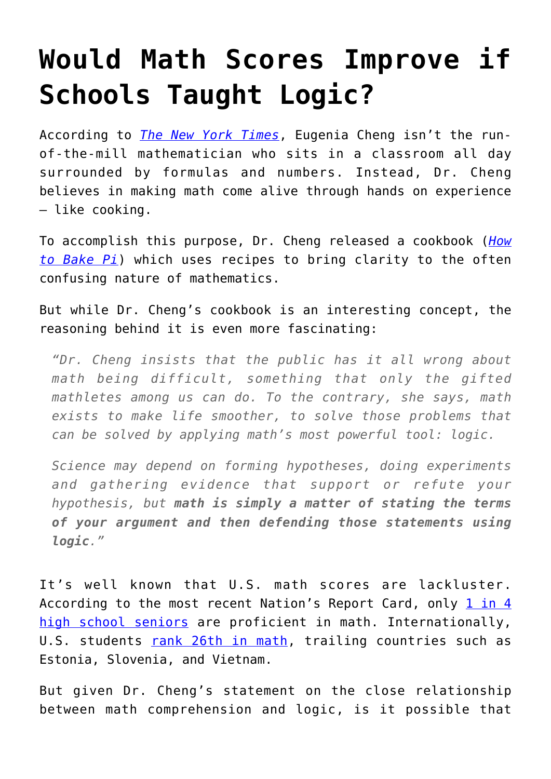## **[Would Math Scores Improve if](https://intellectualtakeout.org/2016/05/would-math-scores-improve-if-schools-taught-logic/) [Schools Taught Logic?](https://intellectualtakeout.org/2016/05/would-math-scores-improve-if-schools-taught-logic/)**

According to *[The New York Times](http://www.nytimes.com/2016/05/03/science/eugenia-cheng-math-how-to-bake-pi.html?_r=0)*, Eugenia Cheng isn't the runof-the-mill mathematician who sits in a classroom all day surrounded by formulas and numbers. Instead, Dr. Cheng believes in making math come alive through hands on experience – like cooking.

To accomplish this purpose, Dr. Cheng released a cookbook (*[How](http://www.amazon.com/gp/product/0465097677/ref=as_li_qf_sp_asin_il_tl?ie=UTF8&camp=1789&creative=9325&creativeASIN=0465097677&linkCode=as2&tag=intelltakeo0d-20&linkId=LGW553FCMOA6VZMV) [to Bake Pi](http://www.amazon.com/gp/product/0465097677/ref=as_li_qf_sp_asin_il_tl?ie=UTF8&camp=1789&creative=9325&creativeASIN=0465097677&linkCode=as2&tag=intelltakeo0d-20&linkId=LGW553FCMOA6VZMV)*) which uses recipes to bring clarity to the often confusing nature of mathematics.

But while Dr. Cheng's cookbook is an interesting concept, the reasoning behind it is even more fascinating:

*"Dr. Cheng insists that the public has it all wrong about math being difficult, something that only the gifted mathletes among us can do. To the contrary, she says, math exists to make life smoother, to solve those problems that can be solved by applying math's most powerful tool: logic.*

*Science may depend on forming hypotheses, doing experiments and gathering evidence that support or refute your hypothesis, but math is simply a matter of stating the terms of your argument and then defending those statements using logic."*

It's well known that U.S. math scores are lackluster. According to the most recent Nation's Report Card, only [1 in 4](https://www.intellectualtakeout.org/blog/more-evidence-americas-education-system-getting-worse) [high school seniors](https://www.intellectualtakeout.org/blog/more-evidence-americas-education-system-getting-worse) are proficient in math. Internationally, U.S. students [rank 26th in math](https://www.intellectualtakeout.org/blog/5-surprising-countries-outperform-us-math), trailing countries such as Estonia, Slovenia, and Vietnam.

But given Dr. Cheng's statement on the close relationship between math comprehension and logic, is it possible that